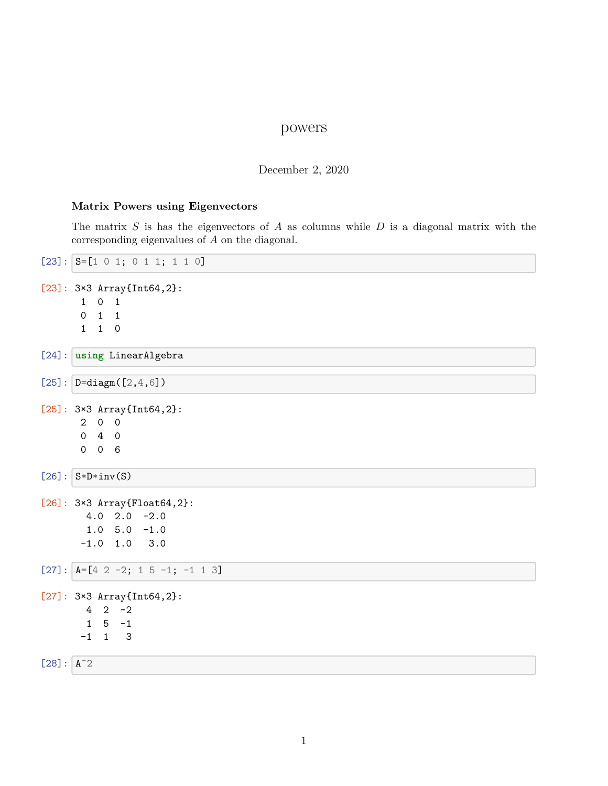## powers

## December 2, 2020

## **Matrix Powers using Eigenvectors**

The matrix *S* is has the eigenvectors of *A* as columns while *D* is a diagonal matrix with the corresponding eigenvalues of *A* on the diagonal.

|              | $[23]$ : $S=[1 \ 0 \ 1; \ 0 \ 1 \ 1; \ 1 \ 0]$       |
|--------------|------------------------------------------------------|
|              | $[23]$ : 3×3 Array{Int64,2}:                         |
|              | $0\quad 1$<br>1<br>$1 \quad 1$<br>$\mathsf{O}$       |
|              | $1\quad1\quad0$                                      |
|              |                                                      |
|              | [24]: using LinearAlgebra                            |
|              | $[25]$ : $D = \text{diagm}([2, 4, 6])$               |
|              | $[25]$ : 3×3 Array{Int64,2}:                         |
|              | 200                                                  |
|              | $0\quad 4\quad 0$                                    |
|              | 0 <sub>6</sub><br>$\mathsf{O}$                       |
|              | $[26]$ : $S*D*inv(S)$                                |
|              | $[26]$ : 3×3 Array{Float64,2}:                       |
|              | $4.0$ 2.0 $-2.0$                                     |
|              | $1.0 5.0 -1.0$                                       |
|              | $-1.0$ 1.0 3.0                                       |
|              | $[27]:$ $A=[4 \ 2 \ -2; \ 1 \ 5 \ -1; \ -1 \ 1 \ 3]$ |
|              | $[27]: 3\times3$ Array{Int64,2}:                     |
|              | $4 \t2 \t-2$                                         |
|              | $5 - 1$<br>$\mathbf{1}$                              |
|              | $-1$ 1 3                                             |
| $[28] : A^2$ |                                                      |
|              |                                                      |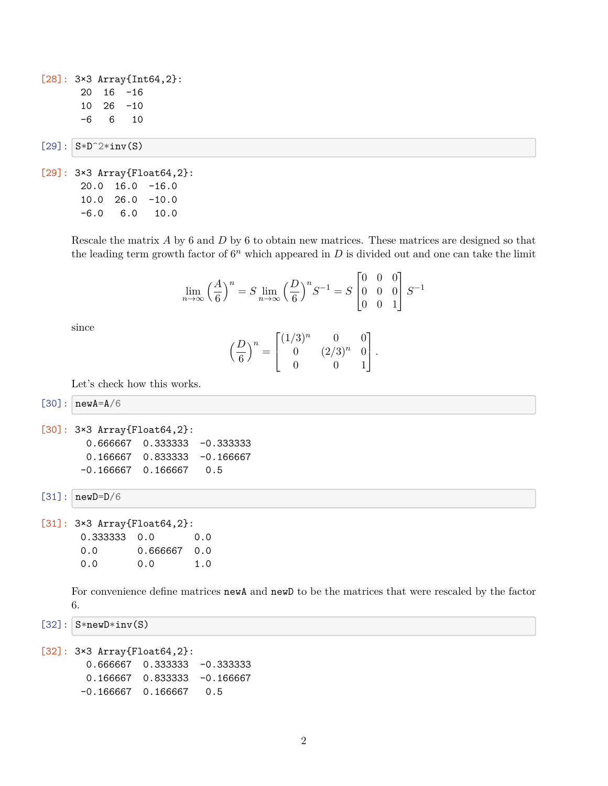[28]: 3×3 Array{Int64,2}: 20 16 -16 10 26 -10 -6 6 10

 $[29]$ :  $S*D^2*inv(S)$ 

```
[29]: 3×3 Array{Float64,2}:
 20.0 16.0 -16.0
 10.0 26.0 -10.0
 -6.0 6.0 10.0
```
Rescale the matrix *A* by 6 and *D* by 6 to obtain new matrices. These matrices are designed so that the leading term growth factor of  $6<sup>n</sup>$  which appeared in  $D$  is divided out and one can take the limit

 $\overline{a}$ 

 $\overline{a}$ 

$$
\lim_{n \to \infty} \left(\frac{A}{6}\right)^n = S \lim_{n \to \infty} \left(\frac{D}{6}\right)^n S^{-1} = S \begin{bmatrix} 0 & 0 & 0 \\ 0 & 0 & 0 \\ 0 & 0 & 1 \end{bmatrix} S^{-1}
$$

since

$$
\left(\frac{D}{6}\right)^n = \begin{bmatrix} (1/3)^n & 0 & 0\\ 0 & (2/3)^n & 0\\ 0 & 0 & 1 \end{bmatrix}.
$$

Let's check how this works.

 $[30]$ :  $newA=A/6$ 

```
[30]: 3×3 Array{Float64,2}:
  0.666667 0.333333 -0.333333
  0.166667  0.833333  -0.166667
 -0.166667 0.166667 0.5
```
 $[31]$ :  $newD=D/6$ 

```
[31]: 3×3 Array{Float64,2}:
0.333333 0.0 0.0
0.0 0.666667 0.0
0.0 0.0 1.0
```
For convenience define matrices newA and newD to be the matrices that were rescaled by the factor 6.

```
[32]: S*newD*inv(S)
```

```
[32]: 3×3 Array{Float64,2}:
  0.666667 0.333333 -0.333333
  0.166667  0.833333 -0.166667
 -0.166667 0.166667 0.5
```